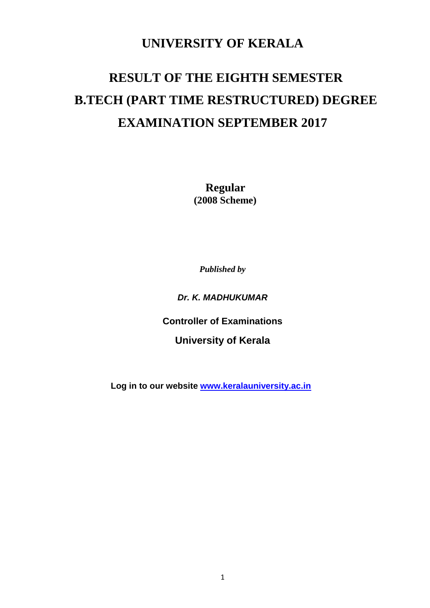# **UNIVERSITY OF KERALA**

# **RESULT OF THE EIGHTH SEMESTER B.TECH (PART TIME RESTRUCTURED) DEGREE EXAMINATION SEPTEMBER 2017**

 **Regular (2008 Scheme)**

*Published by*

*Dr. K. MADHUKUMAR*

**Controller of Examinations**

**University of Kerala**

 **Log in to our website [www.keralauniversity.ac.in](http://www.keralauniversity.ac.in/)**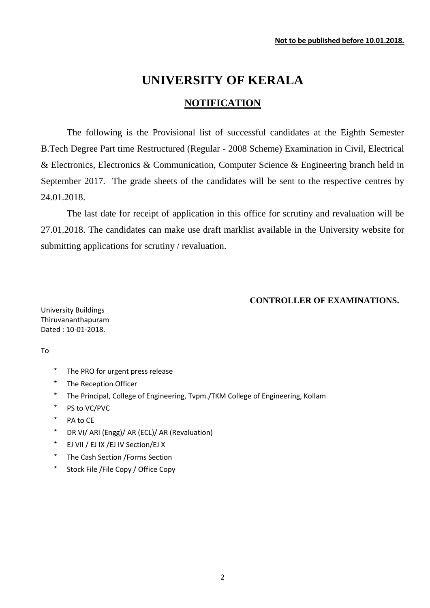# **UNIVERSITY OF KERALA**

## **NOTIFICATION**

The following is the Provisional list of successful candidates at the Eighth Semester B.Tech Degree Part time Restructured (Regular - 2008 Scheme) Examination in Civil, Electrical & Electronics, Electronics & Communication, Computer Science & Engineering branch held in September 2017. The grade sheets of the candidates will be sent to the respective centres by 24.01.2018.

The last date for receipt of application in this office for scrutiny and revaluation will be 27.01.2018. The candidates can make use draft marklist available in the University website for submitting applications for scrutiny / revaluation.

#### **CONTROLLER OF EXAMINATIONS.**

University Buildings Thiruvananthapuram Dated : 10-01-2018.

To

- \* The PRO for urgent press release
- \* The Reception Officer
- \* The Principal, College of Engineering, Tvpm./TKM College of Engineering, Kollam
- \* PS to VC/PVC
- \* PA to CE
- \* DR VI/ ARI (Engg)/ AR (ECL)/ AR (Revaluation)
- \* EJ VII / EJ IX /EJ IV Section/EJ X
- \* The Cash Section /Forms Section
- \* Stock File /File Copy / Office Copy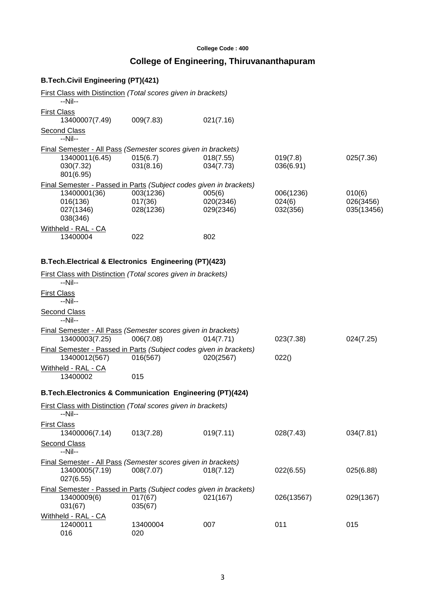#### **College Code : 400**

# **College of Engineering, Thiruvananthapuram**

### **B.Tech.Civil Engineering (PT)(421)**

016

| First Class with Distinction (Total scores given in brackets)<br>$-Nil-$            |                       |                        |                       |                     |
|-------------------------------------------------------------------------------------|-----------------------|------------------------|-----------------------|---------------------|
| <b>First Class</b><br>13400007(7.49)                                                | 009(7.83)             | 021(7.16)              |                       |                     |
| <b>Second Class</b><br>$-Nil-$                                                      |                       |                        |                       |                     |
| Final Semester - All Pass (Semester scores given in brackets)                       |                       |                        |                       |                     |
| 13400011(6.45)<br>030(7.32)<br>801(6.95)                                            | 015(6.7)<br>031(8.16) | 018(7.55)<br>034(7.73) | 019(7.8)<br>036(6.91) | 025(7.36)           |
| Final Semester - Passed in Parts (Subject codes given in brackets)                  |                       |                        |                       |                     |
| 13400001(36)<br>016(136)                                                            | 003(1236)<br>017(36)  | 005(6)<br>020(2346)    | 006(1236)<br>024(6)   | 010(6)<br>026(3456) |
| 027(1346)<br>038(346)                                                               | 028(1236)             | 029(2346)              | 032(356)              | 035(13456)          |
| Withheld - RAL - CA<br>13400004                                                     | 022                   | 802                    |                       |                     |
| B. Tech. Electrical & Electronics Engineering (PT)(423)                             |                       |                        |                       |                     |
| <b>First Class with Distinction (Total scores given in brackets)</b><br>--Nil--     |                       |                        |                       |                     |
| <b>First Class</b><br>$-Nil-$                                                       |                       |                        |                       |                     |
| <b>Second Class</b><br>$-Nil-$                                                      |                       |                        |                       |                     |
| Final Semester - All Pass (Semester scores given in brackets)<br>13400003(7.25)     | 006(7.08)             | 014(7.71)              | 023(7.38)             | 024(7.25)           |
| Final Semester - Passed in Parts (Subject codes given in brackets)<br>13400012(567) | 016(567)              | 020(2567)              | 022()                 |                     |
| Withheld - RAL - CA<br>13400002                                                     | 015                   |                        |                       |                     |
| B. Tech. Electronics & Communication Engineering (PT)(424)                          |                       |                        |                       |                     |
| First Class with Distinction (Total scores given in brackets)<br>--Nil--            |                       |                        |                       |                     |
| <b>First Class</b>                                                                  |                       |                        |                       |                     |
| 13400006(7.14)                                                                      | 013(7.28)             | 019(7.11)              | 028(7.43)             | 034(7.81)           |
| <b>Second Class</b><br>--Nil--                                                      |                       |                        |                       |                     |
| Final Semester - All Pass (Semester scores given in brackets)                       |                       |                        |                       |                     |
| 13400005(7.19)<br>027(6.55)                                                         | 008(7.07)             | 018(7.12)              | 022(6.55)             | 025(6.88)           |
| Final Semester - Passed in Parts (Subject codes given in brackets)                  |                       |                        |                       |                     |
| 13400009(6)<br>031(67)                                                              | 017(67)<br>035(67)    | 021(167)               | 026(13567)            | 029(1367)           |
| Withheld - RAL - CA                                                                 |                       |                        |                       |                     |

12400011 13400004 007 011 015<br>016 020